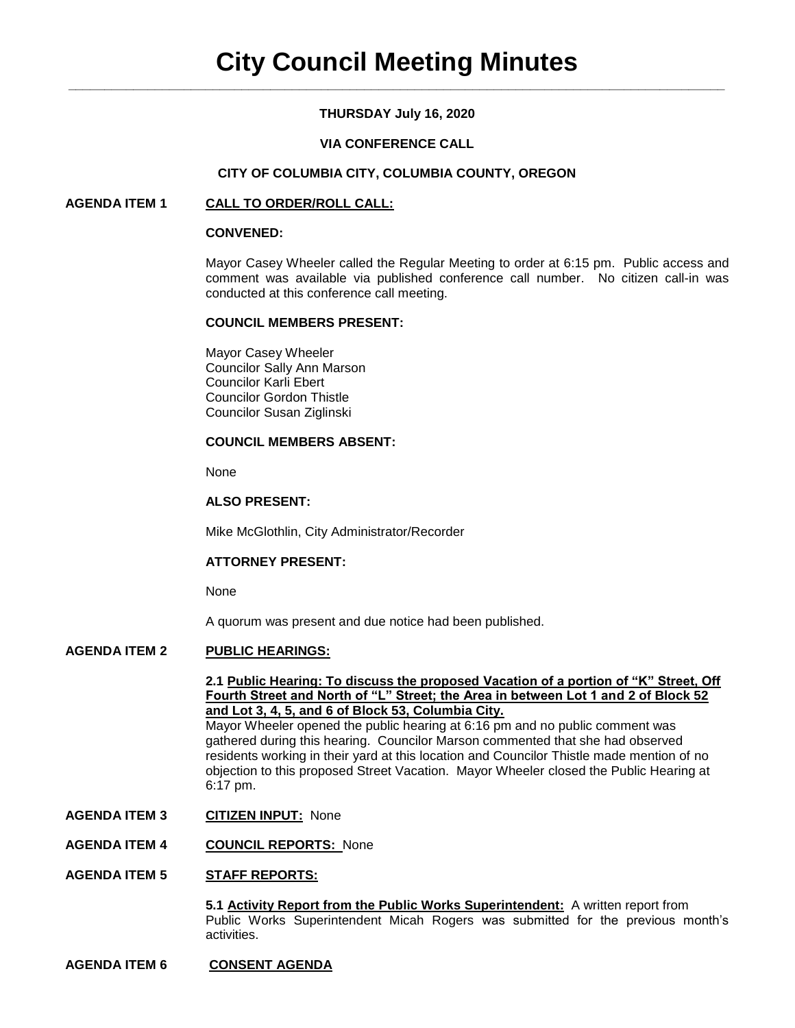# **THURSDAY July 16, 2020**

# **VIA CONFERENCE CALL**

# **CITY OF COLUMBIA CITY, COLUMBIA COUNTY, OREGON**

# **AGENDA ITEM 1 CALL TO ORDER/ROLL CALL:**

### **CONVENED:**

Mayor Casey Wheeler called the Regular Meeting to order at 6:15 pm. Public access and comment was available via published conference call number. No citizen call-in was conducted at this conference call meeting.

### **COUNCIL MEMBERS PRESENT:**

Mayor Casey Wheeler Councilor Sally Ann Marson Councilor Karli Ebert Councilor Gordon Thistle Councilor Susan Ziglinski

## **COUNCIL MEMBERS ABSENT:**

None

# **ALSO PRESENT:**

Mike McGlothlin, City Administrator/Recorder

### **ATTORNEY PRESENT:**

None

A quorum was present and due notice had been published.

### **AGENDA ITEM 2 PUBLIC HEARINGS:**

### **2.1 Public Hearing: To discuss the proposed Vacation of a portion of "K" Street, Off Fourth Street and North of "L" Street; the Area in between Lot 1 and 2 of Block 52 and Lot 3, 4, 5, and 6 of Block 53, Columbia City.**

Mayor Wheeler opened the public hearing at 6:16 pm and no public comment was gathered during this hearing. Councilor Marson commented that she had observed residents working in their yard at this location and Councilor Thistle made mention of no objection to this proposed Street Vacation. Mayor Wheeler closed the Public Hearing at 6:17 pm.

- **AGENDA ITEM 3 CITIZEN INPUT:** None
- **AGENDA ITEM 4 COUNCIL REPORTS:** None

### **AGENDA ITEM 5 STAFF REPORTS:**

**5.1 Activity Report from the Public Works Superintendent:** A written report from Public Works Superintendent Micah Rogers was submitted for the previous month's activities.

## **AGENDA ITEM 6 CONSENT AGENDA**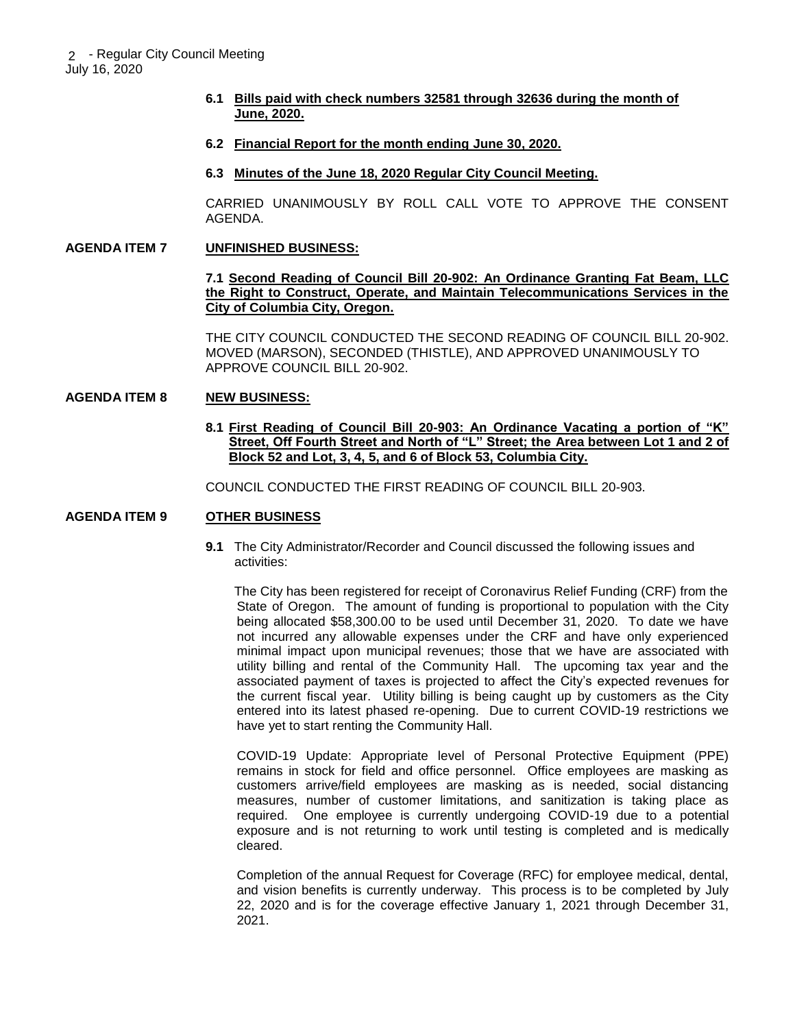- **6.1 Bills paid with check numbers 32581 through 32636 during the month of June, 2020.**
- **6.2 Financial Report for the month ending June 30, 2020.**
- **6.3 Minutes of the June 18, 2020 Regular City Council Meeting.**

CARRIED UNANIMOUSLY BY ROLL CALL VOTE TO APPROVE THE CONSENT AGENDA.

#### **AGENDA ITEM 7 UNFINISHED BUSINESS:**

### **7.1 Second Reading of Council Bill 20-902: An Ordinance Granting Fat Beam, LLC the Right to Construct, Operate, and Maintain Telecommunications Services in the City of Columbia City, Oregon.**

THE CITY COUNCIL CONDUCTED THE SECOND READING OF COUNCIL BILL 20-902. MOVED (MARSON), SECONDED (THISTLE), AND APPROVED UNANIMOUSLY TO APPROVE COUNCIL BILL 20-902.

#### **AGENDA ITEM 8 NEW BUSINESS:**

**8.1 First Reading of Council Bill 20-903: An Ordinance Vacating a portion of "K" Street, Off Fourth Street and North of "L" Street; the Area between Lot 1 and 2 of Block 52 and Lot, 3, 4, 5, and 6 of Block 53, Columbia City.** 

COUNCIL CONDUCTED THE FIRST READING OF COUNCIL BILL 20-903.

## **AGENDA ITEM 9 OTHER BUSINESS**

**9.1** The City Administrator/Recorder and Council discussed the following issues and activities:

 The City has been registered for receipt of Coronavirus Relief Funding (CRF) from the State of Oregon. The amount of funding is proportional to population with the City being allocated \$58,300.00 to be used until December 31, 2020. To date we have not incurred any allowable expenses under the CRF and have only experienced minimal impact upon municipal revenues; those that we have are associated with utility billing and rental of the Community Hall. The upcoming tax year and the associated payment of taxes is projected to affect the City's expected revenues for the current fiscal year. Utility billing is being caught up by customers as the City entered into its latest phased re-opening. Due to current COVID-19 restrictions we have yet to start renting the Community Hall.

COVID-19 Update: Appropriate level of Personal Protective Equipment (PPE) remains in stock for field and office personnel. Office employees are masking as customers arrive/field employees are masking as is needed, social distancing measures, number of customer limitations, and sanitization is taking place as required. One employee is currently undergoing COVID-19 due to a potential exposure and is not returning to work until testing is completed and is medically cleared.

Completion of the annual Request for Coverage (RFC) for employee medical, dental, and vision benefits is currently underway. This process is to be completed by July 22, 2020 and is for the coverage effective January 1, 2021 through December 31, 2021.